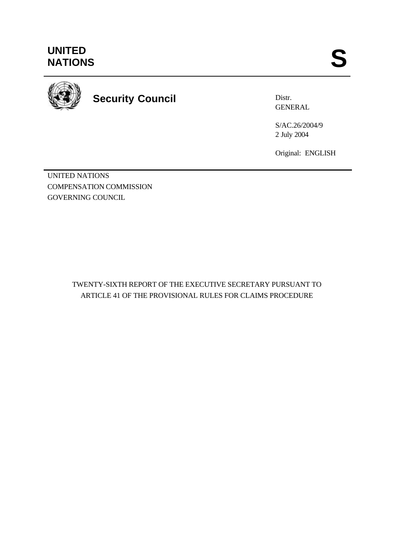

**Security Council**

Distr. GENERAL

S/AC.26/2004/9 2 July 2004

Original: ENGLISH

UNITED NATIONS COMPENSATION COMMISSION GOVERNING COUNCIL

> TWENTY-SIXTH REPORT OF THE EXECUTIVE SECRETARY PURSUANT TO ARTICLE 41 OF THE PROVISIONAL RULES FOR CLAIMS PROCEDURE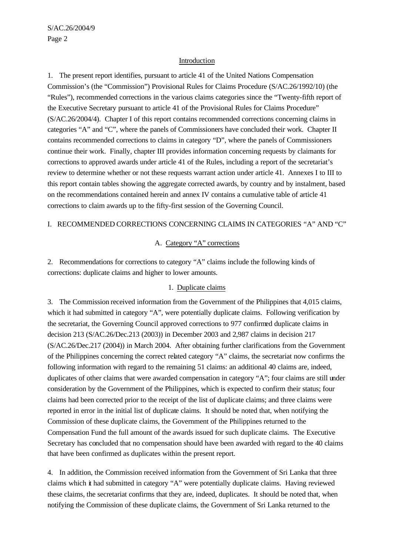#### Introduction

1. The present report identifies, pursuant to article 41 of the United Nations Compensation Commission's (the "Commission") Provisional Rules for Claims Procedure (S/AC.26/1992/10) (the "Rules"), recommended corrections in the various claims categories since the "Twenty-fifth report of the Executive Secretary pursuant to article 41 of the Provisional Rules for Claims Procedure" (S/AC.26/2004/4). Chapter I of this report contains recommended corrections concerning claims in categories "A" and "C", where the panels of Commissioners have concluded their work. Chapter II contains recommended corrections to claims in category "D", where the panels of Commissioners continue their work. Finally, chapter III provides information concerning requests by claimants for corrections to approved awards under article 41 of the Rules, including a report of the secretariat's review to determine whether or not these requests warrant action under article 41. Annexes I to III to this report contain tables showing the aggregate corrected awards, by country and by instalment, based on the recommendations contained herein and annex IV contains a cumulative table of article 41 corrections to claim awards up to the fifty-first session of the Governing Council.

#### I. RECOMMENDED CORRECTIONS CONCERNING CLAIMS IN CATEGORIES "A" AND "C"

### A. Category "A" corrections

2. Recommendations for corrections to category "A" claims include the following kinds of corrections: duplicate claims and higher to lower amounts.

#### 1. Duplicate claims

3. The Commission received information from the Government of the Philippines that 4,015 claims, which it had submitted in category "A", were potentially duplicate claims. Following verification by the secretariat, the Governing Council approved corrections to 977 confirmed duplicate claims in decision 213 (S/AC.26/Dec.213 (2003)) in December 2003 and 2,987 claims in decision 217 (S/AC.26/Dec.217 (2004)) in March 2004. After obtaining further clarifications from the Government of the Philippines concerning the correct related category "A" claims, the secretariat now confirms the following information with regard to the remaining 51 claims: an additional 40 claims are, indeed, duplicates of other claims that were awarded compensation in category "A"; four claims are still under consideration by the Government of the Philippines, which is expected to confirm their status; four claims had been corrected prior to the receipt of the list of duplicate claims; and three claims were reported in error in the initial list of duplicate claims. It should be noted that, when notifying the Commission of these duplicate claims, the Government of the Philippines returned to the Compensation Fund the full amount of the awards issued for such duplicate claims. The Executive Secretary has concluded that no compensation should have been awarded with regard to the 40 claims that have been confirmed as duplicates within the present report.

4. In addition, the Commission received information from the Government of Sri Lanka that three claims which it had submitted in category "A" were potentially duplicate claims. Having reviewed these claims, the secretariat confirms that they are, indeed, duplicates. It should be noted that, when notifying the Commission of these duplicate claims, the Government of Sri Lanka returned to the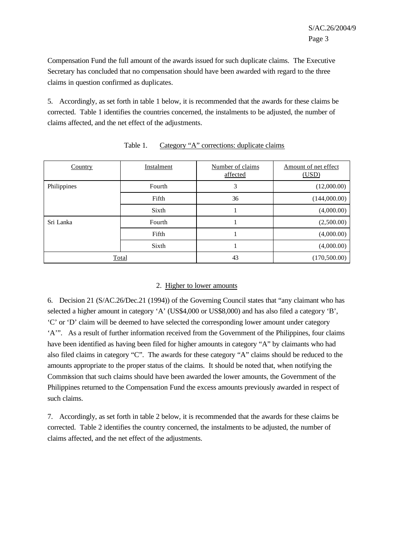Compensation Fund the full amount of the awards issued for such duplicate claims. The Executive Secretary has concluded that no compensation should have been awarded with regard to the three claims in question confirmed as duplicates.

5. Accordingly, as set forth in table 1 below, it is recommended that the awards for these claims be corrected. Table 1 identifies the countries concerned, the instalments to be adjusted, the number of claims affected, and the net effect of the adjustments.

| Country      | Instalment | Number of claims<br>affected | Amount of net effect<br>(USD) |
|--------------|------------|------------------------------|-------------------------------|
| Philippines  | Fourth     | 3                            | (12,000.00)                   |
|              | Fifth      | 36                           | (144,000.00)                  |
|              | Sixth      |                              | (4,000.00)                    |
| Sri Lanka    | Fourth     |                              | (2,500.00)                    |
|              | Fifth      |                              | (4,000.00)                    |
|              | Sixth      |                              | (4,000.00)                    |
| <b>Total</b> |            | 43                           | (170,500.00)                  |

#### Table 1. Category "A" corrections: duplicate claims

### 2. Higher to lower amounts

6. Decision 21 (S/AC.26/Dec.21 (1994)) of the Governing Council states that "any claimant who has selected a higher amount in category 'A' (US\$4,000 or US\$8,000) and has also filed a category 'B', 'C' or 'D' claim will be deemed to have selected the corresponding lower amount under category 'A'". As a result of further information received from the Government of the Philippines, four claims have been identified as having been filed for higher amounts in category "A" by claimants who had also filed claims in category "C". The awards for these category "A" claims should be reduced to the amounts appropriate to the proper status of the claims. It should be noted that, when notifying the Commission that such claims should have been awarded the lower amounts, the Government of the Philippines returned to the Compensation Fund the excess amounts previously awarded in respect of such claims.

7. Accordingly, as set forth in table 2 below, it is recommended that the awards for these claims be corrected. Table 2 identifies the country concerned, the instalments to be adjusted, the number of claims affected, and the net effect of the adjustments.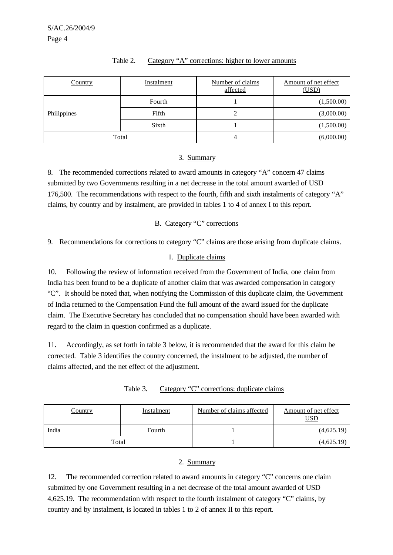| Country      | Instalment | Number of claims<br>affected | Amount of net effect<br>(USD) |
|--------------|------------|------------------------------|-------------------------------|
|              | Fourth     |                              | (1,500.00)                    |
| Philippines  | Fifth      |                              | (3,000.00)                    |
|              | Sixth      |                              | (1,500.00)                    |
| <b>Total</b> |            |                              | (6,000.00)                    |

#### Table 2. Category "A" corrections: higher to lower amounts

#### 3. Summary

8. The recommended corrections related to award amounts in category "A" concern 47 claims submitted by two Governments resulting in a net decrease in the total amount awarded of USD 176,500. The recommendations with respect to the fourth, fifth and sixth instalments of category "A" claims, by country and by instalment, are provided in tables 1 to 4 of annex I to this report.

#### B. Category "C" corrections

9. Recommendations for corrections to category "C" claims are those arising from duplicate claims.

### 1. Duplicate claims

10. Following the review of information received from the Government of India, one claim from India has been found to be a duplicate of another claim that was awarded compensation in category "C". It should be noted that, when notifying the Commission of this duplicate claim, the Government of India returned to the Compensation Fund the full amount of the award issued for the duplicate claim. The Executive Secretary has concluded that no compensation should have been awarded with regard to the claim in question confirmed as a duplicate.

11. Accordingly, as set forth in table 3 below, it is recommended that the award for this claim be corrected. Table 3 identifies the country concerned, the instalment to be adjusted, the number of claims affected, and the net effect of the adjustment.

| Table 3. |  | Category "C" corrections: duplicate claims |  |  |
|----------|--|--------------------------------------------|--|--|
|          |  |                                            |  |  |

| <u>Country</u> | Instalment | Number of claims affected | Amount of net effect<br><u>USD</u> |
|----------------|------------|---------------------------|------------------------------------|
| India          | Fourth     |                           | (4,625.19)                         |
| <u>Total</u>   |            |                           | (4,625.19)                         |

### 2. Summary

12. The recommended correction related to award amounts in category "C" concerns one claim submitted by one Government resulting in a net decrease of the total amount awarded of USD 4,625.19. The recommendation with respect to the fourth instalment of category "C" claims, by country and by instalment, is located in tables 1 to 2 of annex II to this report.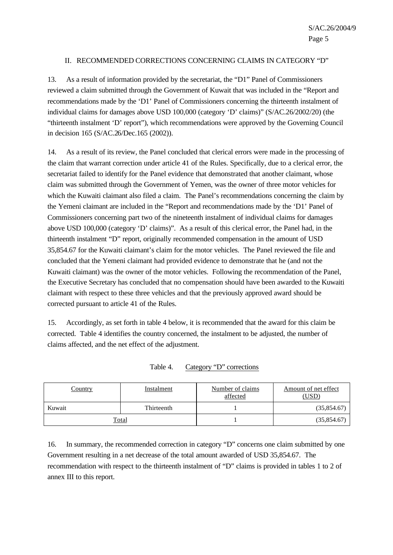#### II. RECOMMENDED CORRECTIONS CONCERNING CLAIMS IN CATEGORY "D"

13. As a result of information provided by the secretariat, the "D1" Panel of Commissioners reviewed a claim submitted through the Government of Kuwait that was included in the "Report and recommendations made by the 'D1' Panel of Commissioners concerning the thirteenth instalment of individual claims for damages above USD 100,000 (category 'D' claims)" (S/AC.26/2002/20) (the "thirteenth instalment 'D' report"), which recommendations were approved by the Governing Council in decision 165 (S/AC.26/Dec.165 (2002)).

14. As a result of its review, the Panel concluded that clerical errors were made in the processing of the claim that warrant correction under article 41 of the Rules. Specifically, due to a clerical error, the secretariat failed to identify for the Panel evidence that demonstrated that another claimant, whose claim was submitted through the Government of Yemen, was the owner of three motor vehicles for which the Kuwaiti claimant also filed a claim. The Panel's recommendations concerning the claim by the Yemeni claimant are included in the "Report and recommendations made by the 'D1' Panel of Commissioners concerning part two of the nineteenth instalment of individual claims for damages above USD 100,000 (category 'D' claims)". As a result of this clerical error, the Panel had, in the thirteenth instalment "D" report, originally recommended compensation in the amount of USD 35,854.67 for the Kuwaiti claimant's claim for the motor vehicles. The Panel reviewed the file and concluded that the Yemeni claimant had provided evidence to demonstrate that he (and not the Kuwaiti claimant) was the owner of the motor vehicles. Following the recommendation of the Panel, the Executive Secretary has concluded that no compensation should have been awarded to the Kuwaiti claimant with respect to these three vehicles and that the previously approved award should be corrected pursuant to article 41 of the Rules.

15. Accordingly, as set forth in table 4 below, it is recommended that the award for this claim be corrected. Table 4 identifies the country concerned, the instalment to be adjusted, the number of claims affected, and the net effect of the adjustment.

| Country      | Instalment | Number of claims<br>affected | Amount of net effect<br>(USD) |
|--------------|------------|------------------------------|-------------------------------|
| Kuwait       | Thirteenth |                              | (35,854.67)                   |
| <u>Total</u> |            |                              | (35,854.67)                   |

Table 4. Category "D" corrections

16. In summary, the recommended correction in category "D" concerns one claim submitted by one Government resulting in a net decrease of the total amount awarded of USD 35,854.67. The recommendation with respect to the thirteenth instalment of "D" claims is provided in tables 1 to 2 of annex III to this report.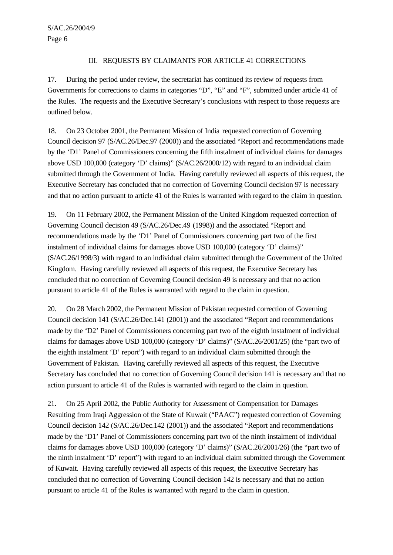### III. REQUESTS BY CLAIMANTS FOR ARTICLE 41 CORRECTIONS

17. During the period under review, the secretariat has continued its review of requests from Governments for corrections to claims in categories "D", "E" and "F", submitted under article 41 of the Rules. The requests and the Executive Secretary's conclusions with respect to those requests are outlined below.

18. On 23 October 2001, the Permanent Mission of India requested correction of Governing Council decision 97 (S/AC.26/Dec.97 (2000)) and the associated "Report and recommendations made by the 'D1' Panel of Commissioners concerning the fifth instalment of individual claims for damages above USD 100,000 (category 'D' claims)" (S/AC.26/2000/12) with regard to an individual claim submitted through the Government of India. Having carefully reviewed all aspects of this request, the Executive Secretary has concluded that no correction of Governing Council decision 97 is necessary and that no action pursuant to article 41 of the Rules is warranted with regard to the claim in question.

19. On 11 February 2002, the Permanent Mission of the United Kingdom requested correction of Governing Council decision 49 (S/AC.26/Dec.49 (1998)) and the associated "Report and recommendations made by the 'D1' Panel of Commissioners concerning part two of the first instalment of individual claims for damages above USD 100,000 (category 'D' claims)" (S/AC.26/1998/3) with regard to an individual claim submitted through the Government of the United Kingdom. Having carefully reviewed all aspects of this request, the Executive Secretary has concluded that no correction of Governing Council decision 49 is necessary and that no action pursuant to article 41 of the Rules is warranted with regard to the claim in question.

20. On 28 March 2002, the Permanent Mission of Pakistan requested correction of Governing Council decision 141 (S/AC.26/Dec.141 (2001)) and the associated "Report and recommendations made by the 'D2' Panel of Commissioners concerning part two of the eighth instalment of individual claims for damages above USD 100,000 (category 'D' claims)" (S/AC.26/2001/25) (the "part two of the eighth instalment 'D' report") with regard to an individual claim submitted through the Government of Pakistan. Having carefully reviewed all aspects of this request, the Executive Secretary has concluded that no correction of Governing Council decision 141 is necessary and that no action pursuant to article 41 of the Rules is warranted with regard to the claim in question.

21. On 25 April 2002, the Public Authority for Assessment of Compensation for Damages Resulting from Iraqi Aggression of the State of Kuwait ("PAAC") requested correction of Governing Council decision 142 (S/AC.26/Dec.142 (2001)) and the associated "Report and recommendations made by the 'D1' Panel of Commissioners concerning part two of the ninth instalment of individual claims for damages above USD 100,000 (category 'D' claims)" (S/AC.26/2001/26) (the "part two of the ninth instalment 'D' report") with regard to an individual claim submitted through the Government of Kuwait. Having carefully reviewed all aspects of this request, the Executive Secretary has concluded that no correction of Governing Council decision 142 is necessary and that no action pursuant to article 41 of the Rules is warranted with regard to the claim in question.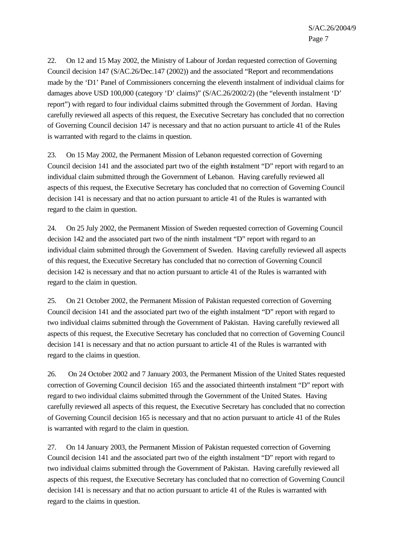22. On 12 and 15 May 2002, the Ministry of Labour of Jordan requested correction of Governing Council decision 147 (S/AC.26/Dec.147 (2002)) and the associated "Report and recommendations made by the 'D1' Panel of Commissioners concerning the eleventh instalment of individual claims for damages above USD 100,000 (category 'D' claims)" (S/AC.26/2002/2) (the "eleventh instalment 'D' report") with regard to four individual claims submitted through the Government of Jordan. Having carefully reviewed all aspects of this request, the Executive Secretary has concluded that no correction of Governing Council decision 147 is necessary and that no action pursuant to article 41 of the Rules is warranted with regard to the claims in question.

23. On 15 May 2002, the Permanent Mission of Lebanon requested correction of Governing Council decision 141 and the associated part two of the eighth instalment "D" report with regard to an individual claim submitted through the Government of Lebanon. Having carefully reviewed all aspects of this request, the Executive Secretary has concluded that no correction of Governing Council decision 141 is necessary and that no action pursuant to article 41 of the Rules is warranted with regard to the claim in question.

24. On 25 July 2002, the Permanent Mission of Sweden requested correction of Governing Council decision 142 and the associated part two of the ninth instalment "D" report with regard to an individual claim submitted through the Government of Sweden. Having carefully reviewed all aspects of this request, the Executive Secretary has concluded that no correction of Governing Council decision 142 is necessary and that no action pursuant to article 41 of the Rules is warranted with regard to the claim in question.

25. On 21 October 2002, the Permanent Mission of Pakistan requested correction of Governing Council decision 141 and the associated part two of the eighth instalment "D" report with regard to two individual claims submitted through the Government of Pakistan. Having carefully reviewed all aspects of this request, the Executive Secretary has concluded that no correction of Governing Council decision 141 is necessary and that no action pursuant to article 41 of the Rules is warranted with regard to the claims in question.

26. On 24 October 2002 and 7 January 2003, the Permanent Mission of the United States requested correction of Governing Council decision 165 and the associated thirteenth instalment "D" report with regard to two individual claims submitted through the Government of the United States. Having carefully reviewed all aspects of this request, the Executive Secretary has concluded that no correction of Governing Council decision 165 is necessary and that no action pursuant to article 41 of the Rules is warranted with regard to the claim in question.

27. On 14 January 2003, the Permanent Mission of Pakistan requested correction of Governing Council decision 141 and the associated part two of the eighth instalment "D" report with regard to two individual claims submitted through the Government of Pakistan. Having carefully reviewed all aspects of this request, the Executive Secretary has concluded that no correction of Governing Council decision 141 is necessary and that no action pursuant to article 41 of the Rules is warranted with regard to the claims in question.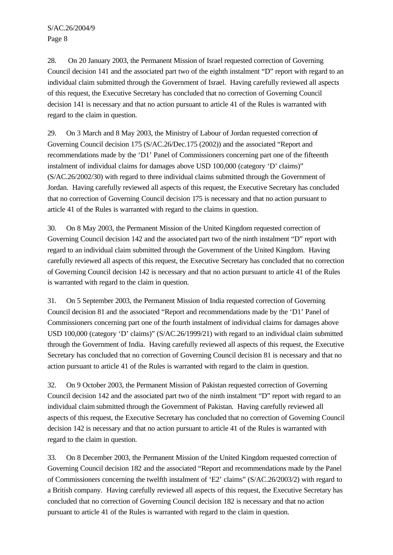S/AC.26/2004/9 Page 8

28. On 20 January 2003, the Permanent Mission of Israel requested correction of Governing Council decision 141 and the associated part two of the eighth instalment "D" report with regard to an individual claim submitted through the Government of Israel. Having carefully reviewed all aspects of this request, the Executive Secretary has concluded that no correction of Governing Council decision 141 is necessary and that no action pursuant to article 41 of the Rules is warranted with regard to the claim in question.

29. On 3 March and 8 May 2003, the Ministry of Labour of Jordan requested correction of Governing Council decision 175 (S/AC.26/Dec.175 (2002)) and the associated "Report and recommendations made by the 'D1' Panel of Commissioners concerning part one of the fifteenth instalment of individual claims for damages above USD 100,000 (category 'D' claims)" (S/AC.26/2002/30) with regard to three individual claims submitted through the Government of Jordan. Having carefully reviewed all aspects of this request, the Executive Secretary has concluded that no correction of Governing Council decision 175 is necessary and that no action pursuant to article 41 of the Rules is warranted with regard to the claims in question.

30. On 8 May 2003, the Permanent Mission of the United Kingdom requested correction of Governing Council decision 142 and the associated part two of the ninth instalment "D" report with regard to an individual claim submitted through the Government of the United Kingdom. Having carefully reviewed all aspects of this request, the Executive Secretary has concluded that no correction of Governing Council decision 142 is necessary and that no action pursuant to article 41 of the Rules is warranted with regard to the claim in question.

31. On 5 September 2003, the Permanent Mission of India requested correction of Governing Council decision 81 and the associated "Report and recommendations made by the 'D1' Panel of Commissioners concerning part one of the fourth instalment of individual claims for damages above USD 100,000 (category 'D' claims)" (S/AC.26/1999/21) with regard to an individual claim submitted through the Government of India. Having carefully reviewed all aspects of this request, the Executive Secretary has concluded that no correction of Governing Council decision 81 is necessary and that no action pursuant to article 41 of the Rules is warranted with regard to the claim in question.

32. On 9 October 2003, the Permanent Mission of Pakistan requested correction of Governing Council decision 142 and the associated part two of the ninth instalment "D" report with regard to an individual claim submitted through the Government of Pakistan. Having carefully reviewed all aspects of this request, the Executive Secretary has concluded that no correction of Governing Council decision 142 is necessary and that no action pursuant to article 41 of the Rules is warranted with regard to the claim in question.

33. On 8 December 2003, the Permanent Mission of the United Kingdom requested correction of Governing Council decision 182 and the associated "Report and recommendations made by the Panel of Commissioners concerning the twelfth instalment of 'E2' claims" (S/AC.26/2003/2) with regard to a British company. Having carefully reviewed all aspects of this request, the Executive Secretary has concluded that no correction of Governing Council decision 182 is necessary and that no action pursuant to article 41 of the Rules is warranted with regard to the claim in question.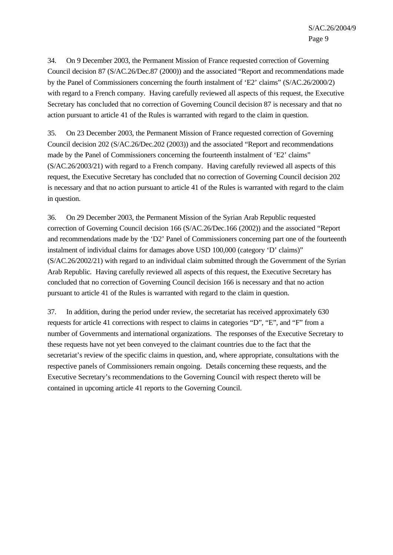34. On 9 December 2003, the Permanent Mission of France requested correction of Governing Council decision 87 (S/AC.26/Dec.87 (2000)) and the associated "Report and recommendations made by the Panel of Commissioners concerning the fourth instalment of 'E2' claims" (S/AC.26/2000/2) with regard to a French company. Having carefully reviewed all aspects of this request, the Executive Secretary has concluded that no correction of Governing Council decision 87 is necessary and that no action pursuant to article 41 of the Rules is warranted with regard to the claim in question.

35. On 23 December 2003, the Permanent Mission of France requested correction of Governing Council decision 202 (S/AC.26/Dec.202 (2003)) and the associated "Report and recommendations made by the Panel of Commissioners concerning the fourteenth instalment of 'E2' claims" (S/AC.26/2003/21) with regard to a French company. Having carefully reviewed all aspects of this request, the Executive Secretary has concluded that no correction of Governing Council decision 202 is necessary and that no action pursuant to article 41 of the Rules is warranted with regard to the claim in question.

36. On 29 December 2003, the Permanent Mission of the Syrian Arab Republic requested correction of Governing Council decision 166 (S/AC.26/Dec.166 (2002)) and the associated "Report and recommendations made by the 'D2' Panel of Commissioners concerning part one of the fourteenth instalment of individual claims for damages above USD 100,000 (category 'D' claims)" (S/AC.26/2002/21) with regard to an individual claim submitted through the Government of the Syrian Arab Republic. Having carefully reviewed all aspects of this request, the Executive Secretary has concluded that no correction of Governing Council decision 166 is necessary and that no action pursuant to article 41 of the Rules is warranted with regard to the claim in question.

37. In addition, during the period under review, the secretariat has received approximately 630 requests for article 41 corrections with respect to claims in categories "D", "E", and "F" from a number of Governments and international organizations. The responses of the Executive Secretary to these requests have not yet been conveyed to the claimant countries due to the fact that the secretariat's review of the specific claims in question, and, where appropriate, consultations with the respective panels of Commissioners remain ongoing. Details concerning these requests, and the Executive Secretary's recommendations to the Governing Council with respect thereto will be contained in upcoming article 41 reports to the Governing Council.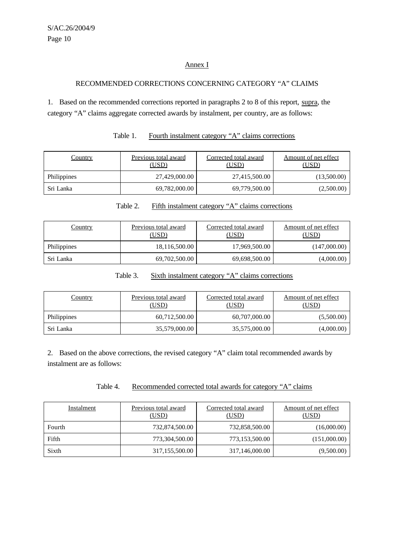### Annex I

## RECOMMENDED CORRECTIONS CONCERNING CATEGORY "A" CLAIMS

1. Based on the recommended corrections reported in paragraphs 2 to 8 of this report, supra, the category "A" claims aggregate corrected awards by instalment, per country, are as follows:

| <u>Country</u> | Previous total award<br>(USD) | Corrected total award<br>(USD) | Amount of net effect<br>(USD) |
|----------------|-------------------------------|--------------------------------|-------------------------------|
| Philippines    | 27,429,000.00                 | 27,415,500.00                  | (13,500.00)                   |
| Sri Lanka      | 69,782,000.00                 | 69,779,500.00                  | (2,500.00)                    |

| Table 1.<br>Fourth instalment category "A" claims corrections |  |  |  |
|---------------------------------------------------------------|--|--|--|
|---------------------------------------------------------------|--|--|--|

| <b>Country</b>     | Previous total award<br>(USD) | Corrected total award<br>(USD) | Amount of net effect<br>(USD) |
|--------------------|-------------------------------|--------------------------------|-------------------------------|
| <b>Philippines</b> | 18,116,500.00                 | 17,969,500.00                  | (147,000.00)                  |
| Sri Lanka          | 69,702,500.00                 | 69,698,500.00                  | (4,000.00)                    |

Table 2. Fifth instalment category "A" claims corrections

### Table 3. Sixth instalment category "A" claims corrections

| <u>Country</u>     | Previous total award<br>(USD) | Corrected total award<br>(USD) | Amount of net effect<br>(USD) |
|--------------------|-------------------------------|--------------------------------|-------------------------------|
| <b>Philippines</b> | 60,712,500.00                 | 60,707,000.00                  | (5,500.00)                    |
| Sri Lanka          | 35,579,000.00                 | 35,575,000.00                  | (4,000.00)                    |

2. Based on the above corrections, the revised category "A" claim total recommended awards by instalment are as follows:

| Table 4. |  | Recommended corrected total awards for category "A" claims |
|----------|--|------------------------------------------------------------|
|          |  |                                                            |

| Instalment | Previous total award<br>(USD) | Corrected total award<br>(USD) | Amount of net effect<br>(USD) |
|------------|-------------------------------|--------------------------------|-------------------------------|
| Fourth     | 732,874,500.00                | 732,858,500.00                 | (16,000.00)                   |
| Fifth      | 773,304,500.00                | 773,153,500.00                 | (151,000.00)                  |
| Sixth      | 317,155,500.00                | 317,146,000.00                 | (9,500.00)                    |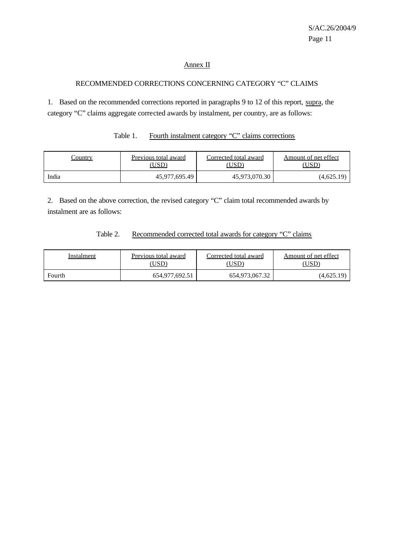### Annex II

## RECOMMENDED CORRECTIONS CONCERNING CATEGORY "C" CLAIMS

1. Based on the recommended corrections reported in paragraphs 9 to 12 of this report, supra, the category "C" claims aggregate corrected awards by instalment, per country, are as follows:

| Table 1.<br>Fourth instalment category "C" claims corrections |
|---------------------------------------------------------------|
|---------------------------------------------------------------|

| Country | Previous total award | Corrected total award | Amount of net effect |  |  |
|---------|----------------------|-----------------------|----------------------|--|--|
|         | 'USD                 | USD                   | USD                  |  |  |
| India   | 45,977,695.49        | 45,973,070.30         | (4,625.19)           |  |  |

2. Based on the above correction, the revised category "C" claim total recommended awards by instalment are as follows:

### Table 2. Recommended corrected total awards for category "C" claims

| Instalment | Previous total award | Corrected total award | Amount of net effect |  |  |
|------------|----------------------|-----------------------|----------------------|--|--|
|            | USD)                 | USD`                  | USD)                 |  |  |
| Fourth     | 654,977,692.51       | 654,973,067.32        | (4,625.19)           |  |  |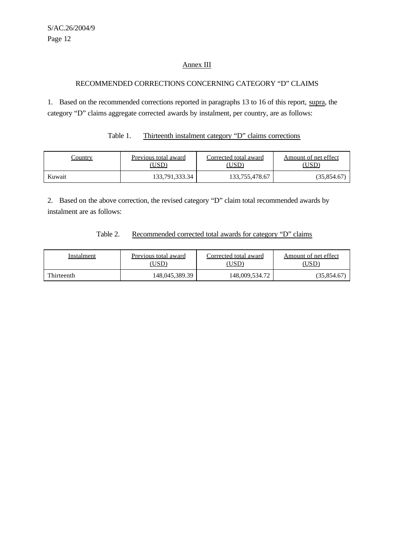## Annex III

### RECOMMENDED CORRECTIONS CONCERNING CATEGORY "D" CLAIMS

1. Based on the recommended corrections reported in paragraphs 13 to 16 of this report, supra, the category "D" claims aggregate corrected awards by instalment, per country, are as follows:

# Table 1. Thirteenth instalment category "D" claims corrections

| <u>'ountry</u> | Previous total award | Corrected total award | Amount of net effect |  |  |
|----------------|----------------------|-----------------------|----------------------|--|--|
|                | USD)                 | USD`                  | USD                  |  |  |
| Kuwait         | 133,791,333.34       | 133,755,478.67        | (35,854.67)          |  |  |

2. Based on the above correction, the revised category "D" claim total recommended awards by instalment are as follows:

### Table 2. Recommended corrected total awards for category "D" claims

| Instalment | Previous total award | Corrected total award | Amount of net effect |  |  |
|------------|----------------------|-----------------------|----------------------|--|--|
|            | USD)                 | USD <sup>®</sup>      | USD                  |  |  |
| Thirteenth | 148,045,389.39       | 148,009,534.72        | (35,854.67)          |  |  |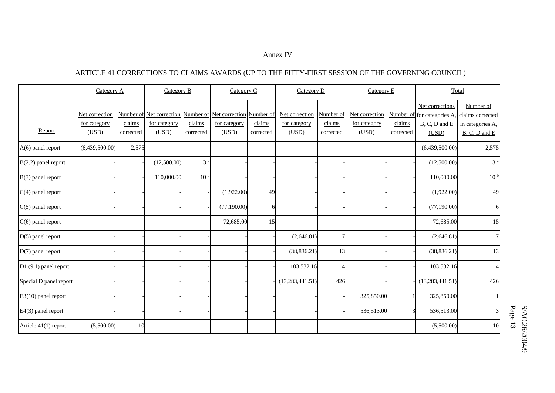#### Annex IV

# ARTICLE 41 CORRECTIONS TO CLAIMS AWARDS (UP TO THE FIFTY-FIRST SESSION OF THE GOVERNING COUNCIL)

|                        | Category A                              |                     | Category B                                                                                  |                     |                       | Category C          |                                         | Category D                       |                                         | Category E          |                                                                         | Total                                                              |  |
|------------------------|-----------------------------------------|---------------------|---------------------------------------------------------------------------------------------|---------------------|-----------------------|---------------------|-----------------------------------------|----------------------------------|-----------------------------------------|---------------------|-------------------------------------------------------------------------|--------------------------------------------------------------------|--|
| Report                 | Net correction<br>for category<br>(USD) | claims<br>corrected | <u>Number of Net correction</u> Number of Net correction Number of<br>for category<br>(USD) | claims<br>corrected | for category<br>(USD) | claims<br>corrected | Net correction<br>for category<br>(USD) | Number of<br>claims<br>corrected | Net correction<br>for category<br>(USD) | claims<br>corrected | Net corrections<br>Number of for categories A<br>B, C, D and E<br>(USD) | Number of<br>claims corrected<br>in categories A.<br>B, C, D and E |  |
| $A(6)$ panel report    | (6,439,500.00)                          | 2,575               |                                                                                             |                     |                       |                     |                                         |                                  |                                         |                     | (6,439,500.00)                                                          | 2,575                                                              |  |
| $B(2.2)$ panel report  |                                         |                     | (12,500.00)                                                                                 | 3 <sup>a</sup>      |                       |                     |                                         |                                  |                                         |                     | (12,500.00)                                                             | 3 <sup>a</sup>                                                     |  |
| $B(3)$ panel report    |                                         |                     | 110,000.00                                                                                  | 10 <sup>b</sup>     |                       |                     |                                         |                                  |                                         |                     | 110,000.00                                                              | 10 <sup>b</sup>                                                    |  |
| $C(4)$ panel report    |                                         |                     |                                                                                             |                     | (1,922.00)            | 49                  |                                         |                                  |                                         |                     | (1,922.00)                                                              | 49                                                                 |  |
| $C(5)$ panel report    |                                         |                     |                                                                                             |                     | (77,190.00)           |                     |                                         |                                  |                                         |                     | (77,190.00)                                                             | 6                                                                  |  |
| $C(6)$ panel report    |                                         |                     |                                                                                             |                     | 72,685.00             | 15                  |                                         |                                  |                                         |                     | 72,685.00                                                               | 15                                                                 |  |
| $D(5)$ panel report    |                                         |                     |                                                                                             |                     |                       |                     | (2,646.81)                              | $\overline{7}$                   |                                         |                     | (2,646.81)                                                              | $\overline{7}$                                                     |  |
| $D(7)$ panel report    |                                         |                     |                                                                                             |                     |                       |                     | (38, 836.21)                            | 13                               |                                         |                     | (38, 836.21)                                                            | 13                                                                 |  |
| D1 (9.1) panel report  |                                         |                     |                                                                                             |                     |                       |                     | 103,532.16                              | $\overline{A}$                   |                                         |                     | 103,532.16                                                              |                                                                    |  |
| Special D panel report |                                         |                     |                                                                                             |                     |                       |                     | (13, 283, 441.51)                       | 426                              |                                         |                     | (13, 283, 441.51)                                                       | 426                                                                |  |
| $E3(10)$ panel report  |                                         |                     |                                                                                             |                     |                       |                     |                                         |                                  | 325,850.00                              |                     | 325,850.00                                                              |                                                                    |  |
| E4(3) panel report     |                                         |                     |                                                                                             |                     |                       |                     |                                         |                                  | 536,513.00                              |                     | 536,513.00                                                              |                                                                    |  |
| Article 41(1) report   | (5,500.00)                              | 10                  |                                                                                             |                     |                       |                     |                                         |                                  |                                         |                     | (5,500.00)                                                              | $10\,$                                                             |  |

Page S/AC.26/2004/9 13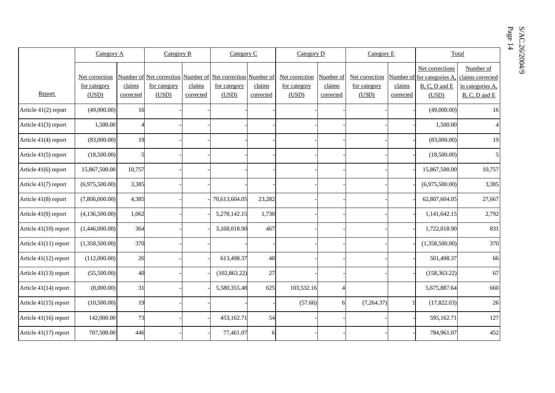S/AC.26/2004/9 Page S/AC.26/2004/9 14

|                       | Category A                              |                     | Category B                                                                           |                     |                       | Category C          |                                         | Category D                       |                                         | Category E          |                                                                          | Total                                                                  |  |
|-----------------------|-----------------------------------------|---------------------|--------------------------------------------------------------------------------------|---------------------|-----------------------|---------------------|-----------------------------------------|----------------------------------|-----------------------------------------|---------------------|--------------------------------------------------------------------------|------------------------------------------------------------------------|--|
| Report                | Net correction<br>for category<br>(USD) | claims<br>corrected | Number of Net correction Number of Net correction Number of<br>for category<br>(USD) | claims<br>corrected | for category<br>(USD) | claims<br>corrected | Net correction<br>for category<br>(USD) | Number of<br>claims<br>corrected | Net correction<br>for category<br>(USD) | claims<br>corrected | Net corrections<br>Number of for categories A.<br>B, C, D and E<br>(USD) | Number of<br>claims corrected<br>in categories A,<br>$B, C, D$ and $E$ |  |
| Article 41(2) report  | (49,000.00)                             | 16                  |                                                                                      |                     |                       |                     |                                         |                                  |                                         |                     | (49,000.00)                                                              | 16                                                                     |  |
| Article 41(3) report  | 1,500.00                                |                     |                                                                                      |                     |                       |                     |                                         |                                  |                                         |                     | 1,500.00                                                                 | $\overline{4}$                                                         |  |
| Article 41(4) report  | (83,000.00)                             | 19                  |                                                                                      |                     |                       |                     |                                         |                                  |                                         |                     | (83,000.00)                                                              | 19                                                                     |  |
| Article 41(5) report  | (18,500.00)                             |                     |                                                                                      |                     |                       |                     |                                         |                                  |                                         |                     | (18,500.00)                                                              | 5                                                                      |  |
| Article 41(6) report  | 15,867,500.00                           | 10,757              |                                                                                      |                     |                       |                     |                                         |                                  |                                         |                     | 15,867,500.00                                                            | 10,757                                                                 |  |
| Article 41(7) report  | (6,975,500.00)                          | 3,385               |                                                                                      |                     |                       |                     |                                         |                                  |                                         |                     | (6,975,500.00)                                                           | 3,385                                                                  |  |
| Article 41(8) report  | (7,806,000.00)                          | 4,385               |                                                                                      |                     | 70,613,604.05         | 23,282              |                                         |                                  |                                         |                     | 62,807,604.05                                                            | 27,667                                                                 |  |
| Article 41(9) report  | (4,136,500.00)                          | 1,062               |                                                                                      |                     | 5,278,142.15          | 1,730               |                                         |                                  |                                         |                     | 1,141,642.15                                                             | 2,792                                                                  |  |
| Article 41(10) report | (1,446,000.00)                          | 364                 |                                                                                      |                     | 3,168,018.90          | 467                 |                                         |                                  |                                         |                     | 1,722,018.90                                                             | 831                                                                    |  |
| Article 41(11) report | (1,358,500.00)                          | 370                 |                                                                                      |                     |                       |                     |                                         |                                  |                                         |                     | (1,358,500.00)                                                           | 370                                                                    |  |
| Article 41(12) report | (112,000.00)                            | 26                  |                                                                                      |                     | 613,498.37            | 40                  |                                         |                                  |                                         |                     | 501,498.37                                                               | 66                                                                     |  |
| Article 41(13) report | (55,500.00)                             | 40                  |                                                                                      |                     | (102, 863.22)         | 27                  |                                         |                                  |                                         |                     | (158, 363.22)                                                            | 67                                                                     |  |
| Article 41(14) report | (8,000.00)                              | 31                  |                                                                                      |                     | 5,580,355.48          | 625                 | 103,532.16                              | 4                                |                                         |                     | 5,675,887.64                                                             | 660                                                                    |  |
| Article 41(15) report | (10,500.00)                             | 19                  |                                                                                      |                     |                       |                     | (57.66)                                 | 6                                | (7,264.37)                              |                     | (17, 822.03)                                                             | 26                                                                     |  |
| Article 41(16) report | 142,000.00                              | 73                  |                                                                                      |                     | 453,162.71            | 54                  |                                         |                                  |                                         |                     | 595,162.71                                                               | 127                                                                    |  |
| Article 41(17) report | 707,500.00                              | 446                 |                                                                                      |                     | 77,461.07             | 6                   |                                         |                                  |                                         |                     | 784,961.07                                                               | 452                                                                    |  |